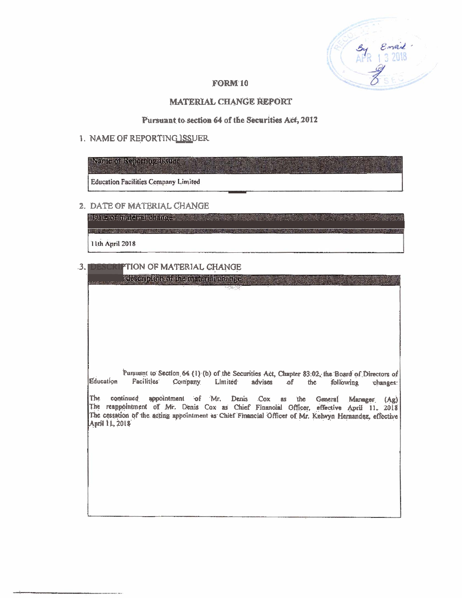#### **FORM 10**

#### **MATERIAL CHANGE REPORT**

#### Pursuant to section 64 of the Securities Act, 2012

#### 1. NAME OF REPORTING ISSUER

## **NETTE OF CONTRACTOR**

**Education Facilities Company Limited** 

### 2. DATE OF MATERIAL CHANGE

**Date of material and a little of the state** 11th April 2018

#### PTION OF MATERIAL CHANGE  $3.$

religion foltoaren ibre territorial ofmage.

Pursuant to Section 64 (1) (b) of the Securities Act, Chapter 83:02, the Board of Directors of Education **Facilities** Company Limited advises  $of$ the following changes:

The continued appointment of Mr. Denis Cox as the General Manager (Ag)<br>The reappointment of Mr. Denis Cox as Chief Financial Officer, effective April 11, 2018 The cessation of the acting appointment as Chief Financial Officer of Mr. Kelwyn Hernandez, effective April 11, 2018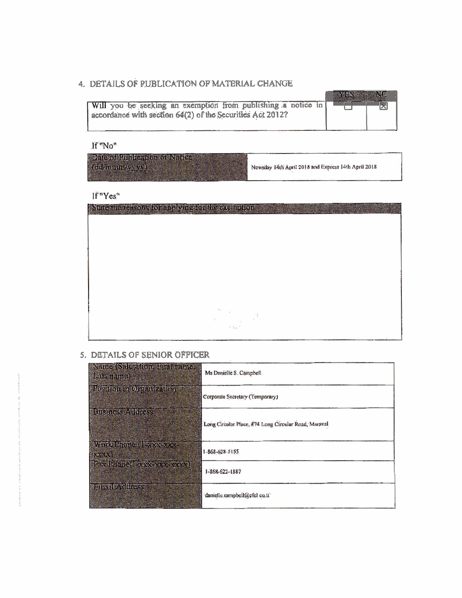## 4. DETAILS OF PUBLICATION OF MATERIAL CHANGE

| Will you be seeking an exemption from publishing a notice in<br>accordance with section 64(2) of the Securities Act 2012? |  |
|---------------------------------------------------------------------------------------------------------------------------|--|
|                                                                                                                           |  |

If"No"

| Date of Pushesiton of Notice<br>delmining year | Newsday 14th April 2018 and Express 14th April 2018 |
|------------------------------------------------|-----------------------------------------------------|
|------------------------------------------------|-----------------------------------------------------|

If"Yes"

| tute the reasons for applying for the exemption    |
|----------------------------------------------------|
|                                                    |
|                                                    |
|                                                    |
|                                                    |
|                                                    |
|                                                    |
| $\tau_{\mathcal{F}_\mathcal{G}}$<br>$\ddot{\cdot}$ |
| $\mathcal{C}$<br>$\sim$ $\sim$ $\sim$              |
|                                                    |

# 5. DETAILS OF SENIOR OFFICER

| Nature (Salutatoru Birshmanto)<br><b>SEANT DOOR</b> | Ms Danielle S. Campbell                              |
|-----------------------------------------------------|------------------------------------------------------|
| Position in Organization.                           | Corporate Secretary (Temporary)                      |
| This mess conver-                                   | Long Circular Place, #74 Long Circular Road, Maraval |
| Mark Mone ( New York<br>发行人                         | $1 - 868 - 628 - 5155$                               |
| <b>Brasillional Existing Conde</b>                  | 1-868-622-1887                                       |
| <b>Mittle Address</b>                               | danielle.campbell@cfcl co.tt'                        |